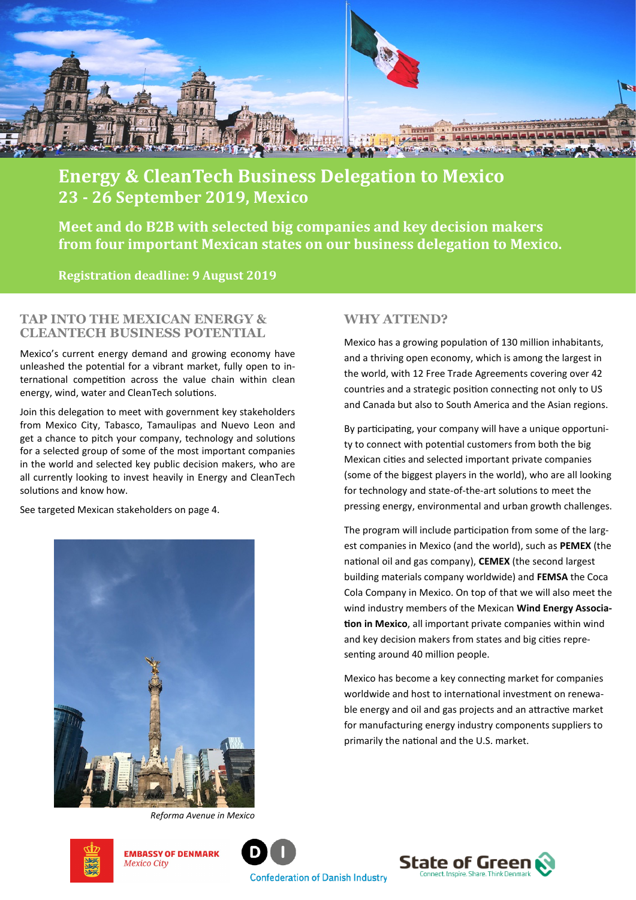

# **Energy & CleanTech Business Delegation to Mexico 23 - 26 September 2019, Mexico**

**Meet and do B2B with selected big companies and key decision makers from four important Mexican states on our business delegation to Mexico.** 

**Registration deadline: 9 August 2019**

#### **TAP INTO THE MEXICAN ENERGY & CLEANTECH BUSINESS POTENTIAL**

Mexico's current energy demand and growing economy have unleashed the potential for a vibrant market, fully open to international competition across the value chain within clean energy, wind, water and CleanTech solutions.

Join this delegation to meet with government key stakeholders from Mexico City, Tabasco, Tamaulipas and Nuevo Leon and get a chance to pitch your company, technology and solutions for a selected group of some of the most important companies in the world and selected key public decision makers, who are all currently looking to invest heavily in Energy and CleanTech solutions and know how.

See targeted Mexican stakeholders on page 4.



*Reforma Avenue in Mexico* 

# **WHY ATTEND?**

Mexico has a growing population of 130 million inhabitants, and a thriving open economy, which is among the largest in the world, with 12 Free Trade Agreements covering over 42 countries and a strategic position connecting not only to US and Canada but also to South America and the Asian regions.

By participating, your company will have a unique opportunity to connect with potential customers from both the big Mexican cities and selected important private companies (some of the biggest players in the world), who are all looking for technology and state-of-the-art solutions to meet the pressing energy, environmental and urban growth challenges.

The program will include participation from some of the largest companies in Mexico (and the world), such as **PEMEX** (the national oil and gas company), **CEMEX** (the second largest building materials company worldwide) and **FEMSA** the Coca Cola Company in Mexico. On top of that we will also meet the wind industry members of the Mexican **Wind Energy Association in Mexico**, all important private companies within wind and key decision makers from states and big cities representing around 40 million people.

Mexico has become a key connecting market for companies worldwide and host to international investment on renewable energy and oil and gas projects and an attractive market for manufacturing energy industry components suppliers to primarily the national and the U.S. market.



**EMBASSY OF DENMARK Mexico City** 



**Confederation of Danish Industry** 

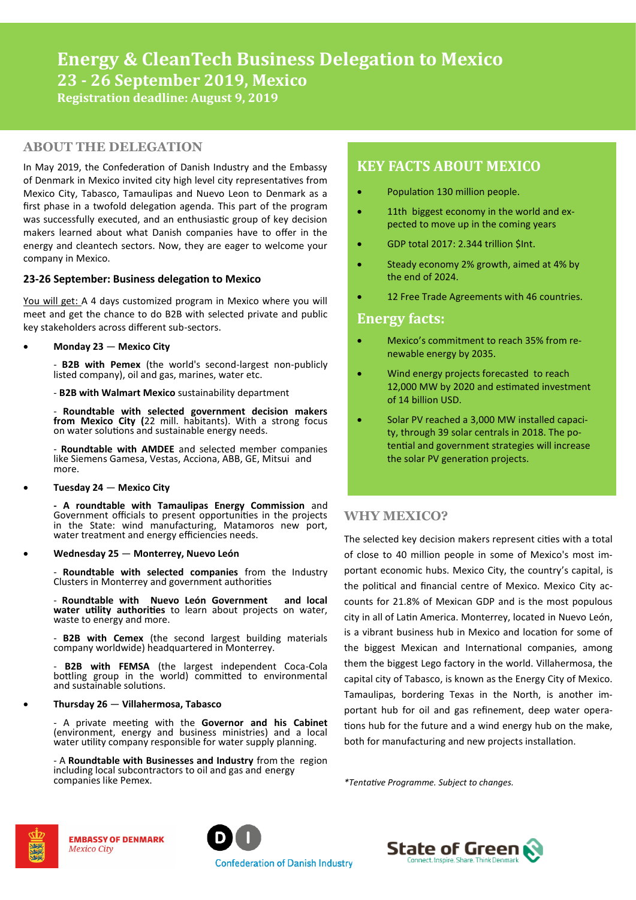## **ABOUT THE DELEGATION**

In May 2019, the Confederation of Danish Industry and the Embassy of Denmark in Mexico invited city high level city representatives from Mexico City, Tabasco, Tamaulipas and Nuevo Leon to Denmark as a first phase in a twofold delegation agenda. This part of the program was successfully executed, and an enthusiastic group of key decision makers learned about what Danish companies have to offer in the energy and cleantech sectors. Now, they are eager to welcome your company in Mexico.

#### **23-26 September: Business delegation to Mexico**

You will get: A 4 days customized program in Mexico where you will meet and get the chance to do B2B with selected private and public key stakeholders across different sub-sectors.

• **Monday 23** — **Mexico City** 

- **B2B with Pemex** (the world's second-largest non-publicly listed company), oil and gas, marines, water etc.

- **B2B with Walmart Mexico** sustainability department

- **Roundtable with selected government decision makers from Mexico City (**22 mill. habitants). With a strong focus on water solutions and sustainable energy needs.

- **Roundtable with AMDEE** and selected member companies like Siemens Gamesa, Vestas, Acciona, ABB, GE, Mitsui and more.

• **Tuesday 24** — **Mexico City** 

**- A roundtable with Tamaulipas Energy Commission** and Government officials to present opportunities in the projects in the State: wind manufacturing, Matamoros new port, water treatment and energy efficiencies needs.

• **Wednesday 25** — **Monterrey, Nuevo León**

- **Roundtable with selected companies** from the Industry Clusters in Monterrey and government authorities

- **Roundtable with Nuevo León Government and local water utility authorities** to learn about projects on water, waste to energy and more.

- **B2B with Cemex** (the second largest building materials company worldwide) headquartered in Monterrey.

- **B2B with FEMSA** (the largest independent Coca-Cola bottling group in the world) committed to environmental and sustainable solutions.

#### • **Thursday 26** — **Villahermosa, Tabasco**

- A private meeting with the **Governor and his Cabinet**  (environment, energy and business ministries) and a local water utility company responsible for water supply planning.

- A **Roundtable with Businesses and Industry** from the region including local subcontractors to oil and gas and energy companies like Pemex.

# **KEY FACTS ABOUT MEXICO**

- Population 130 million people.
- 11th biggest economy in the world and expected to move up in the coming years
- GDP total 2017: 2.344 trillion \$Int.
- Steady economy 2% growth, aimed at 4% by the end of 2024.
- 12 Free Trade Agreements with 46 countries.

### **Energy facts:**

- Mexico's commitment to reach 35% from renewable energy by 2035.
- Wind energy projects forecasted to reach 12,000 MW by 2020 and estimated investment of 14 billion USD.
- Solar PV reached a 3,000 MW installed capacity, through 39 solar centrals in 2018. The potential and government strategies will increase the solar PV generation projects.

# **WHY MEXICO?**

The selected key decision makers represent cities with a total of close to 40 million people in some of Mexico's most important economic hubs. Mexico City, the country's capital, is the political and financial centre of Mexico. Mexico City accounts for 21.8% of Mexican GDP and is the most populous city in all of Latin America. Monterrey, located in Nuevo León, is a vibrant business hub in Mexico and location for some of the biggest Mexican and International companies, among them the biggest Lego factory in the world. Villahermosa, the capital city of Tabasco, is known as the Energy City of Mexico. Tamaulipas, bordering Texas in the North, is another important hub for oil and gas refinement, deep water operations hub for the future and a wind energy hub on the make, both for manufacturing and new projects installation.

*\*Tentative Programme. Subject to changes.*



**EMBASSY OF DENMARK Mexico City** 



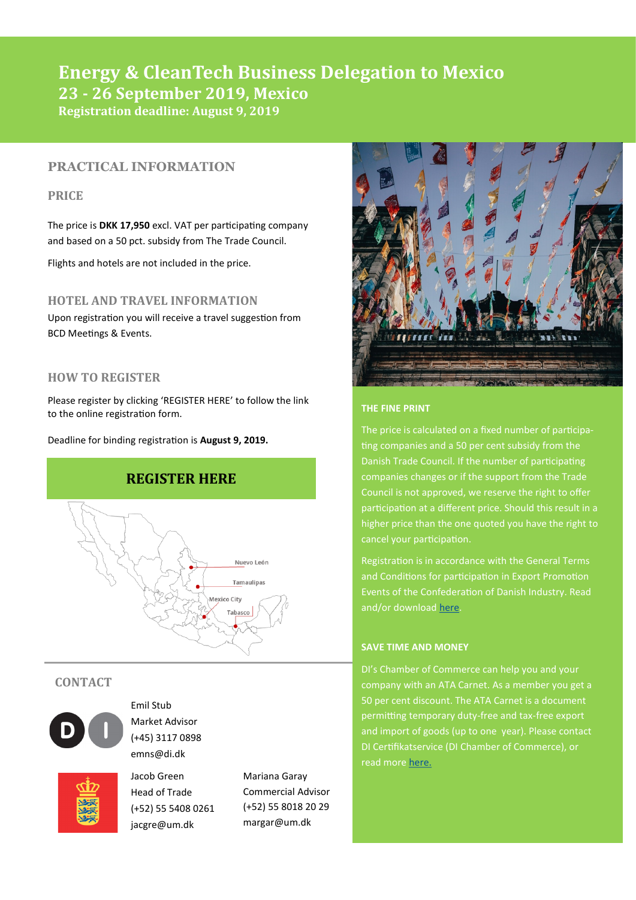# **Energy & CleanTech Business Delegation to Mexico 23 - 26 September 2019, Mexico Registration deadline: August 9, 2019**

# **PRACTICAL INFORMATION**

# **PRICE**

The price is **DKK 17,950** excl. VAT per participating company and based on a 50 pct. subsidy from The Trade Council.

Flights and hotels are not included in the price.

## **HOTEL AND TRAVEL INFORMATION**

Upon registration you will receive a travel suggestion from BCD Meetings & Events.

### **HOW TO REGISTER**

Please register by clicking 'REGISTER HERE' to follow the link to the online registration form.

Deadline for binding registration is **August 9, 2019.**



### **CONTACT**



Emil Stub Market Advisor (+45) 3117 0898 emns@di.dk



Jacob Green Head of Trade (+52) 55 5408 0261 jacgre@um.dk

Mariana Garay Commercial Advisor (+52) 55 8018 20 29 margar@um.dk



#### **THE FINE PRINT**

The price is calculated on a fixed number of participating companies and a 50 per cent subsidy from the Danish Trade Council. If the number of participating companies changes or if the support from the Trade Council is not approved, we reserve the right to offer participation at a different price. Should this result in a higher price than the one quoted you have the right to cancel your participation.

Registration is in accordance with the General Terms and Conditions for participation in Export Promotion and/or download [here.](http://di.dk/SiteCollectionDocuments/Markedsudvikling/-%20Andet/General%20Conditions%20Participation%20in%20Export%20Promotion%20Events%20-%20%20DI%20%20JAN%2016.pdf%5d)

#### **SAVE TIME AND MONEY**

DI's Chamber of Commerce can help you and your company with an ATA Carnet. As a member you get a 50 per cent discount. The ATA Carnet is a document permitting temporary duty-free and tax-free export and import of goods (up to one year). Please contact DI Certifikatservice (DI Chamber of Commerce), or read more [here.](https://di.dk/Marked/Eksport/Certifikatkontoret/Pages/ATAcarneter.aspx%5d)